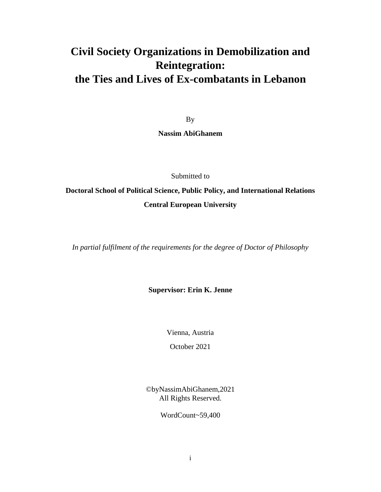# **Civil Society Organizations in Demobilization and Reintegration: the Ties and Lives of Ex-combatants in Lebanon**

By

**Nassim AbiGhanem**

Submitted to

**Doctoral School of Political Science, Public Policy, and International Relations Central European University**

*In partial fulfilment of the requirements for the degree of Doctor of Philosophy*

**Supervisor: Erin K. Jenne**

Vienna, Austria

October 2021

©byNassimAbiGhanem,2021 All Rights Reserved.

WordCount~59,400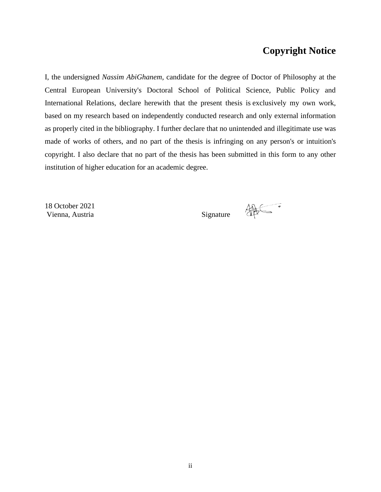### **Copyright Notice**

I, the undersigned *Nassim AbiGhanem*, candidate for the degree of Doctor of Philosophy at the Central European University's Doctoral School of Political Science, Public Policy and International Relations, declare herewith that the present thesis is exclusively my own work, based on my research based on independently conducted research and only external information as properly cited in the bibliography. I further declare that no unintended and illegitimate use was made of works of others, and no part of the thesis is infringing on any person's or intuition's copyright. I also declare that no part of the thesis has been submitted in this form to any other institution of higher education for an academic degree.

18 October 2021 Vienna, Austria Signature

第二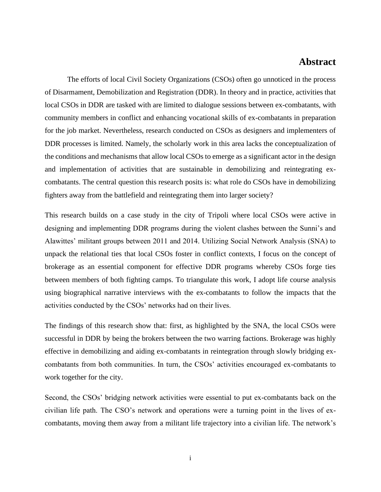### **Abstract**

The efforts of local Civil Society Organizations (CSOs) often go unnoticed in the process of Disarmament, Demobilization and Registration (DDR). In theory and in practice, activities that local CSOs in DDR are tasked with are limited to dialogue sessions between ex-combatants, with community members in conflict and enhancing vocational skills of ex-combatants in preparation for the job market. Nevertheless, research conducted on CSOs as designers and implementers of DDR processes is limited. Namely, the scholarly work in this area lacks the conceptualization of the conditions and mechanisms that allow local CSOs to emerge as a significant actor in the design and implementation of activities that are sustainable in demobilizing and reintegrating excombatants. The central question this research posits is: what role do CSOs have in demobilizing fighters away from the battlefield and reintegrating them into larger society?

This research builds on a case study in the city of Tripoli where local CSOs were active in designing and implementing DDR programs during the violent clashes between the Sunni's and Alawittes' militant groups between 2011 and 2014. Utilizing Social Network Analysis (SNA) to unpack the relational ties that local CSOs foster in conflict contexts, I focus on the concept of brokerage as an essential component for effective DDR programs whereby CSOs forge ties between members of both fighting camps. To triangulate this work, I adopt life course analysis using biographical narrative interviews with the ex-combatants to follow the impacts that the activities conducted by the CSOs' networks had on their lives.

The findings of this research show that: first, as highlighted by the SNA, the local CSOs were successful in DDR by being the brokers between the two warring factions. Brokerage was highly effective in demobilizing and aiding ex-combatants in reintegration through slowly bridging excombatants from both communities. In turn, the CSOs' activities encouraged ex-combatants to work together for the city.

Second, the CSOs' bridging network activities were essential to put ex-combatants back on the civilian life path. The CSO's network and operations were a turning point in the lives of excombatants, moving them away from a militant life trajectory into a civilian life. The network's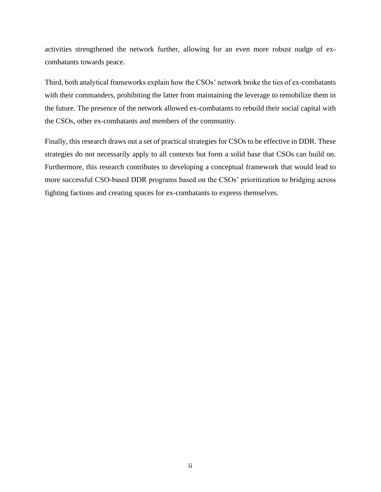activities strengthened the network further, allowing for an even more robust nudge of excombatants towards peace.

Third, both analytical frameworks explain how the CSOs' network broke the ties of ex-combatants with their commanders, prohibiting the latter from maintaining the leverage to remobilize them in the future. The presence of the network allowed ex-combatants to rebuild their social capital with the CSOs, other ex-combatants and members of the community.

Finally, this research draws out a set of practical strategies for CSOs to be effective in DDR. These strategies do not necessarily apply to all contexts but form a solid base that CSOs can build on. Furthermore, this research contributes to developing a conceptual framework that would lead to more successful CSO-based DDR programs based on the CSOs' prioritization to bridging across fighting factions and creating spaces for ex-combatants to express themselves.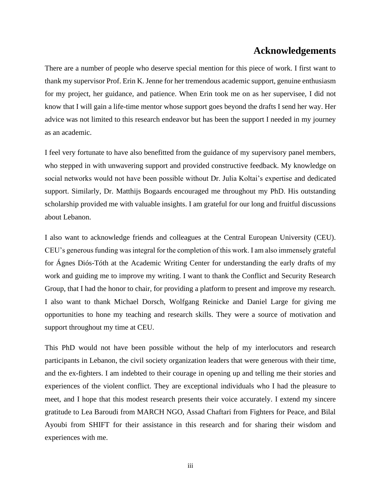### **Acknowledgements**

There are a number of people who deserve special mention for this piece of work. I first want to thank my supervisor Prof. Erin K. Jenne for her tremendous academic support, genuine enthusiasm for my project, her guidance, and patience. When Erin took me on as her supervisee, I did not know that I will gain a life-time mentor whose support goes beyond the drafts I send her way. Her advice was not limited to this research endeavor but has been the support I needed in my journey as an academic.

I feel very fortunate to have also benefitted from the guidance of my supervisory panel members, who stepped in with unwavering support and provided constructive feedback. My knowledge on social networks would not have been possible without Dr. Julia Koltai's expertise and dedicated support. Similarly, Dr. Matthijs Bogaards encouraged me throughout my PhD. His outstanding scholarship provided me with valuable insights. I am grateful for our long and fruitful discussions about Lebanon.

I also want to acknowledge friends and colleagues at the Central European University (CEU). CEU's generous funding was integral for the completion of this work. I am also immensely grateful for Ágnes Diós-Tóth at the Academic Writing Center for understanding the early drafts of my work and guiding me to improve my writing. I want to thank the Conflict and Security Research Group, that I had the honor to chair, for providing a platform to present and improve my research. I also want to thank Michael Dorsch, Wolfgang Reinicke and Daniel Large for giving me opportunities to hone my teaching and research skills. They were a source of motivation and support throughout my time at CEU.

This PhD would not have been possible without the help of my interlocutors and research participants in Lebanon, the civil society organization leaders that were generous with their time, and the ex-fighters. I am indebted to their courage in opening up and telling me their stories and experiences of the violent conflict. They are exceptional individuals who I had the pleasure to meet, and I hope that this modest research presents their voice accurately. I extend my sincere gratitude to Lea Baroudi from MARCH NGO, Assad Chaftari from Fighters for Peace, and Bilal Ayoubi from SHIFT for their assistance in this research and for sharing their wisdom and experiences with me.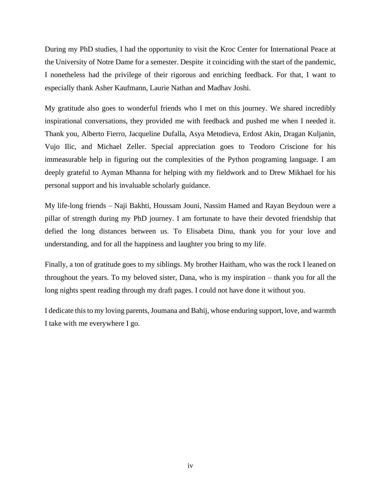During my PhD studies, I had the opportunity to visit the Kroc Center for International Peace at the University of Notre Dame for a semester. Despite it coinciding with the start of the pandemic, I nonetheless had the privilege of their rigorous and enriching feedback. For that, I want to especially thank Asher Kaufmann, Laurie Nathan and Madhav Joshi.

My gratitude also goes to wonderful friends who I met on this journey. We shared incredibly inspirational conversations, they provided me with feedback and pushed me when I needed it. Thank you, Alberto Fierro, Jacqueline Dufalla, Asya Metodieva, Erdost Akin, Dragan Kuljanin, Vujo Ilic, and Michael Zeller. Special appreciation goes to Teodoro Criscione for his immeasurable help in figuring out the complexities of the Python programing language. I am deeply grateful to Ayman Mhanna for helping with my fieldwork and to Drew Mikhael for his personal support and his invaluable scholarly guidance.

My life-long friends – Naji Bakhti, Houssam Jouni, Nassim Hamed and Rayan Beydoun were a pillar of strength during my PhD journey. I am fortunate to have their devoted friendship that defied the long distances between us. To Elisabeta Dinu, thank you for your love and understanding, and for all the happiness and laughter you bring to my life.

Finally, a ton of gratitude goes to my siblings. My brother Haitham, who was the rock I leaned on throughout the years. To my beloved sister, Dana, who is my inspiration – thank you for all the long nights spent reading through my draft pages. I could not have done it without you.

I dedicate this to my loving parents, Joumana and Bahij, whose enduring support, love, and warmth I take with me everywhere I go.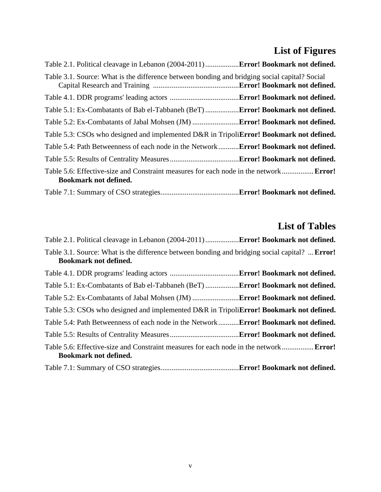# **List of Figures**

| Table 3.1. Source: What is the difference between bonding and bridging social capital? Social                                |  |
|------------------------------------------------------------------------------------------------------------------------------|--|
|                                                                                                                              |  |
| Table 5.1: Ex-Combatants of Bab el-Tabbaneh (BeT) <b>Error! Bookmark not defined.</b>                                        |  |
|                                                                                                                              |  |
| Table 5.3: CSOs who designed and implemented D&R in TripoliError! Bookmark not defined.                                      |  |
| Table 5.4: Path Betweenness of each node in the Network <b>Error! Bookmark not defined.</b>                                  |  |
|                                                                                                                              |  |
| Table 5.6: Effective-size and Constraint measures for each node in the network <b>Error!</b><br><b>Bookmark not defined.</b> |  |
|                                                                                                                              |  |

## **List of Tables**

| Table 3.1. Source: What is the difference between bonding and bridging social capital? <b>Error!</b><br><b>Bookmark not defined.</b> |  |
|--------------------------------------------------------------------------------------------------------------------------------------|--|
|                                                                                                                                      |  |
| Table 5.1: Ex-Combatants of Bab el-Tabbaneh (BeT) <b>Error! Bookmark not defined.</b>                                                |  |
|                                                                                                                                      |  |
| Table 5.3: CSOs who designed and implemented D&R in Tripoli <b>Error! Bookmark not defined.</b>                                      |  |
| Table 5.4: Path Betweenness of each node in the Network <b>Error! Bookmark not defined.</b>                                          |  |
|                                                                                                                                      |  |
| Table 5.6: Effective-size and Constraint measures for each node in the network <b>Error!</b><br><b>Bookmark not defined.</b>         |  |
|                                                                                                                                      |  |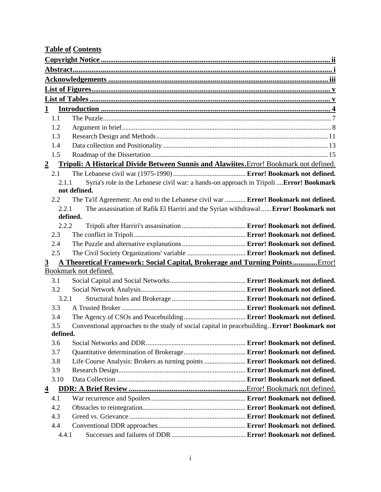| <b>Table of Contents</b> |                   |                                                                                             |  |
|--------------------------|-------------------|---------------------------------------------------------------------------------------------|--|
|                          |                   |                                                                                             |  |
|                          |                   |                                                                                             |  |
|                          |                   |                                                                                             |  |
|                          |                   |                                                                                             |  |
|                          |                   |                                                                                             |  |
| $\mathbf{1}$             |                   |                                                                                             |  |
|                          | 1.1               |                                                                                             |  |
|                          | 1.2               |                                                                                             |  |
|                          | 1.3               |                                                                                             |  |
|                          | 1.4               |                                                                                             |  |
|                          | 1.5               |                                                                                             |  |
| $\overline{2}$           |                   | Tripoli: A Historical Divide Between Sunnis and Alawiites. Error! Bookmark not defined.     |  |
|                          | 2.1               |                                                                                             |  |
|                          | 2.1.1             | Syria's role in the Lebanese civil war: a hands-on approach in Tripoli  Error! Bookmark     |  |
|                          |                   | not defined.                                                                                |  |
|                          | 2.2               | The Ta'if Agreement: An end to the Lebanese civil war  Error! Bookmark not defined.         |  |
|                          | 2.2.1<br>defined. | The assassination of Rafik El Harriri and the Syrian withdrawal Error! Bookmark not         |  |
|                          | 2.2.2             |                                                                                             |  |
|                          | 2.3               |                                                                                             |  |
|                          | 2.4               |                                                                                             |  |
|                          | 2.5               | The Civil Society Organizations' variable  Error! Bookmark not defined.                     |  |
| $\overline{3}$           |                   | <b>A Theoretical Framework: Social Capital, Brokerage and Turning PointsError!</b>          |  |
|                          |                   | Bookmark not defined.                                                                       |  |
|                          | 3.1               |                                                                                             |  |
|                          | 3.2               |                                                                                             |  |
|                          | 3.2.1             |                                                                                             |  |
|                          | 3.3               |                                                                                             |  |
|                          | 3.4               |                                                                                             |  |
|                          | 3.5               | Conventional approaches to the study of social capital in peacebuilding Error! Bookmark not |  |
|                          | defined.          |                                                                                             |  |
|                          | 3.6               |                                                                                             |  |
|                          | 3.7               |                                                                                             |  |
|                          | 3.8               | Life Course Analysis: Brokers as turning points  Error! Bookmark not defined.               |  |
|                          | 3.9               |                                                                                             |  |
|                          | 3.10              |                                                                                             |  |
| $\overline{4}$           |                   |                                                                                             |  |
|                          | 4.1               |                                                                                             |  |
|                          | 4.2<br>4.3        |                                                                                             |  |
|                          | 4.4               |                                                                                             |  |
|                          | 4.4.1             |                                                                                             |  |
|                          |                   |                                                                                             |  |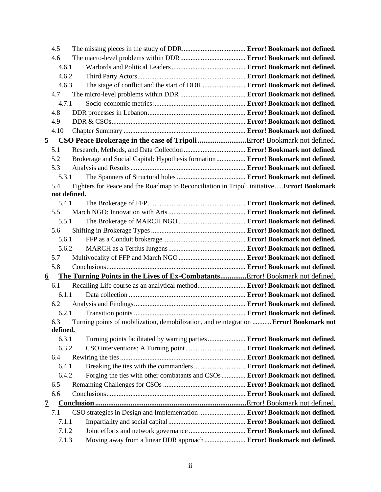|                 | 4.5          |                                                                                           |  |
|-----------------|--------------|-------------------------------------------------------------------------------------------|--|
|                 | 4.6          |                                                                                           |  |
|                 | 4.6.1        |                                                                                           |  |
|                 | 4.6.2        |                                                                                           |  |
|                 | 4.6.3        | The stage of conflict and the start of DDR  Error! Bookmark not defined.                  |  |
|                 | 4.7          |                                                                                           |  |
|                 | 4.7.1        |                                                                                           |  |
|                 | 4.8          |                                                                                           |  |
|                 | 4.9          |                                                                                           |  |
|                 | 4.10         |                                                                                           |  |
| $\overline{5}$  |              |                                                                                           |  |
|                 | 5.1          |                                                                                           |  |
|                 | 5.2          | Brokerage and Social Capital: Hypothesis formation Error! Bookmark not defined.           |  |
|                 | 5.3          |                                                                                           |  |
|                 | 5.3.1        |                                                                                           |  |
|                 | 5.4          | Fighters for Peace and the Roadmap to Reconciliation in Tripoli initiativeError! Bookmark |  |
|                 | not defined. |                                                                                           |  |
|                 | 5.4.1        |                                                                                           |  |
|                 | 5.5          |                                                                                           |  |
|                 | 5.5.1        |                                                                                           |  |
|                 | 5.6          |                                                                                           |  |
|                 | 5.6.1        |                                                                                           |  |
|                 | 5.6.2        |                                                                                           |  |
|                 | 5.7          |                                                                                           |  |
|                 | 5.8          |                                                                                           |  |
| $\underline{6}$ |              | The Turning Points in the Lives of Ex-CombatantsError! Bookmark not defined.              |  |
|                 | 6.1          |                                                                                           |  |
|                 | 6.1.1        |                                                                                           |  |
|                 | 6.2          |                                                                                           |  |
|                 | 6.2.1        |                                                                                           |  |
|                 | 6.3          | Turning points of mobilization, demobilization, and reintegration  Error! Bookmark not    |  |
|                 | defined.     |                                                                                           |  |
|                 | 6.3.1        | Turning points facilitated by warring parties  Error! Bookmark not defined.               |  |
|                 | 6.3.2        |                                                                                           |  |
|                 | 6.4          |                                                                                           |  |
|                 | 6.4.1        | Breaking the ties with the commanders  Error! Bookmark not defined.                       |  |
|                 | 6.4.2        | Forging the ties with other combatants and CSOs  Error! Bookmark not defined.             |  |
|                 | 6.5          |                                                                                           |  |
|                 | 6.6          |                                                                                           |  |
| <u>7</u>        |              |                                                                                           |  |
|                 | 7.1          | CSO strategies in Design and Implementation  Error! Bookmark not defined.                 |  |
|                 | 7.1.1        |                                                                                           |  |
|                 | 7.1.2        |                                                                                           |  |
|                 | 7.1.3        | Moving away from a linear DDR approach  Error! Bookmark not defined.                      |  |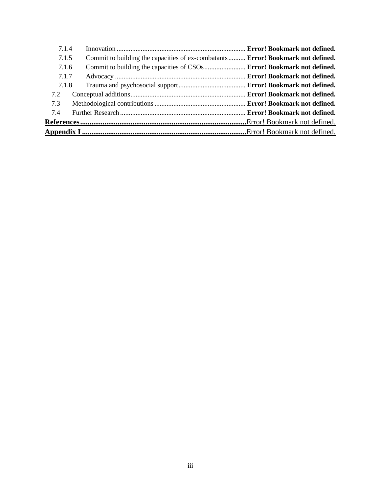| 7.1.4 |                                                                                  |  |
|-------|----------------------------------------------------------------------------------|--|
| 7.1.5 | Commit to building the capacities of ex-combatants  Error! Bookmark not defined. |  |
| 7.1.6 | Commit to building the capacities of CSOs Error! Bookmark not defined.           |  |
| 7.1.7 |                                                                                  |  |
| 7.1.8 |                                                                                  |  |
| 7.2   |                                                                                  |  |
| 7.3   |                                                                                  |  |
| 7.4   |                                                                                  |  |
|       |                                                                                  |  |
|       |                                                                                  |  |
|       |                                                                                  |  |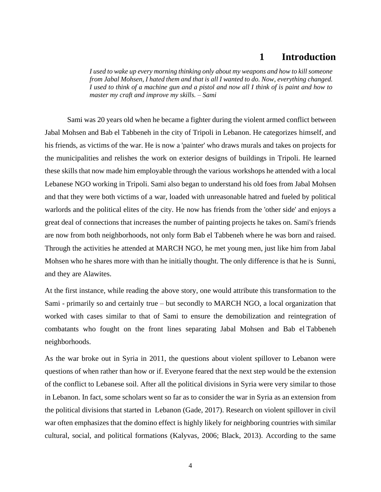### **1 Introduction**

*I used to wake up every morning thinking only about my weapons and how to kill someone from Jabal Mohsen, I hated them and that is all I wanted to do. Now, everything changed. I used to think of a machine gun and a pistol and now all I think of is paint and how to master my craft and improve my skills. – Sami*

Sami was 20 years old when he became a fighter during the violent armed conflict between Jabal Mohsen and Bab el Tabbeneh in the city of Tripoli in Lebanon. He categorizes himself, and his friends, as victims of the war. He is now a 'painter' who draws murals and takes on projects for the municipalities and relishes the work on exterior designs of buildings in Tripoli. He learned these skills that now made him employable through the various workshops he attended with a local Lebanese NGO working in Tripoli. Sami also began to understand his old foes from Jabal Mohsen and that they were both victims of a war, loaded with unreasonable hatred and fueled by political warlords and the political elites of the city. He now has friends from the 'other side' and enjoys a great deal of connections that increases the number of painting projects he takes on. Sami's friends are now from both neighborhoods, not only form Bab el Tabbeneh where he was born and raised. Through the activities he attended at MARCH NGO, he met young men, just like him from Jabal Mohsen who he shares more with than he initially thought. The only difference is that he is Sunni, and they are Alawites.

At the first instance, while reading the above story, one would attribute this transformation to the Sami - primarily so and certainly true – but secondly to MARCH NGO, a local organization that worked with cases similar to that of Sami to ensure the demobilization and reintegration of combatants who fought on the front lines separating Jabal Mohsen and Bab el Tabbeneh neighborhoods.

As the war broke out in Syria in 2011, the questions about violent spillover to Lebanon were questions of when rather than how or if. Everyone feared that the next step would be the extension of the conflict to Lebanese soil. After all the political divisions in Syria were very similar to those in Lebanon. In fact, some scholars went so far as to consider the war in Syria as an extension from the political divisions that started in Lebanon (Gade, 2017). Research on violent spillover in civil war often emphasizes that the domino effect is highly likely for neighboring countries with similar cultural, social, and political formations (Kalyvas, 2006; Black, 2013). According to the same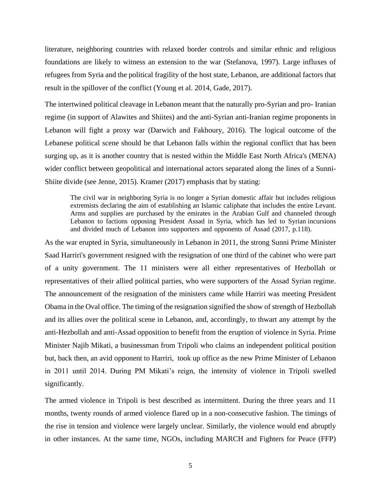literature, neighboring countries with relaxed border controls and similar ethnic and religious foundations are likely to witness an extension to the war (Stefanova, 1997). Large influxes of refugees from Syria and the political fragility of the host state, Lebanon, are additional factors that result in the spillover of the conflict (Young et al. 2014, Gade, 2017).

The intertwined political cleavage in Lebanon meant that the naturally pro-Syrian and pro- Iranian regime (in support of Alawites and Shiites) and the anti-Syrian anti-Iranian regime proponents in Lebanon will fight a proxy war (Darwich and Fakhoury, 2016). The logical outcome of the Lebanese political scene should be that Lebanon falls within the regional conflict that has been surging up, as it is another country that is nested within the Middle East North Africa's (MENA) wider conflict between geopolitical and international actors separated along the lines of a Sunni-Shiite divide (see Jenne, 2015). Kramer (2017) emphasis that by stating:

The civil war in neighboring Syria is no longer a Syrian domestic affair but includes religious extremists declaring the aim of establishing an Islamic caliphate that includes the entire Levant. Arms and supplies are purchased by the emirates in the Arabian Gulf and channeled through Lebanon to factions opposing President Assad in Syria, which has led to Syrian incursions and divided much of Lebanon into supporters and opponents of Assad (2017, p.118).

As the war erupted in Syria, simultaneously in Lebanon in 2011, the strong Sunni Prime Minister Saad Harriri's government resigned with the resignation of one third of the cabinet who were part of a unity government. The 11 ministers were all either representatives of Hezbollah or representatives of their allied political parties, who were supporters of the Assad Syrian regime. The announcement of the resignation of the ministers came while Harriri was meeting President Obama in the Oval office. The timing of the resignation signified the show of strength of Hezbollah and its allies over the political scene in Lebanon, and, accordingly, to thwart any attempt by the anti-Hezbollah and anti-Assad opposition to benefit from the eruption of violence in Syria. Prime Minister Najib Mikati, a businessman from Tripoli who claims an independent political position but, back then, an avid opponent to Harriri, took up office as the new Prime Minister of Lebanon in 2011 until 2014. During PM Mikati's reign, the intensity of violence in Tripoli swelled significantly.

The armed violence in Tripoli is best described as intermittent. During the three years and 11 months, twenty rounds of armed violence flared up in a non-consecutive fashion. The timings of the rise in tension and violence were largely unclear. Similarly, the violence would end abruptly in other instances. At the same time, NGOs, including MARCH and Fighters for Peace (FFP)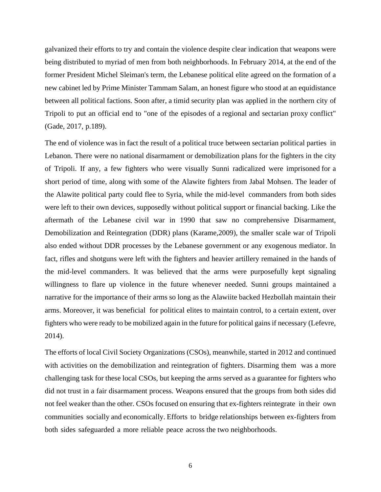galvanized their efforts to try and contain the violence despite clear indication that weapons were being distributed to myriad of men from both neighborhoods. In February 2014, at the end of the former President Michel Sleiman's term, the Lebanese political elite agreed on the formation of a new cabinet led by Prime Minister Tammam Salam, an honest figure who stood at an equidistance between all political factions. Soon after, a timid security plan was applied in the northern city of Tripoli to put an official end to "one of the episodes of a regional and sectarian proxy conflict" (Gade, 2017, p.189).

The end of violence was in fact the result of a political truce between sectarian political parties in Lebanon. There were no national disarmament or demobilization plans for the fighters in the city of Tripoli. If any, a few fighters who were visually Sunni radicalized were imprisoned for a short period of time, along with some of the Alawite fighters from Jabal Mohsen. The leader of the Alawite political party could flee to Syria, while the mid-level commanders from both sides were left to their own devices, supposedly without political support or financial backing. Like the aftermath of the Lebanese civil war in 1990 that saw no comprehensive Disarmament, Demobilization and Reintegration (DDR) plans (Karame,2009), the smaller scale war of Tripoli also ended without DDR processes by the Lebanese government or any exogenous mediator. In fact, rifles and shotguns were left with the fighters and heavier artillery remained in the hands of the mid-level commanders. It was believed that the arms were purposefully kept signaling willingness to flare up violence in the future whenever needed. Sunni groups maintained a narrative for the importance of their arms so long as the Alawiite backed Hezbollah maintain their arms. Moreover, it was beneficial for political elites to maintain control, to a certain extent, over fighters who were ready to be mobilized again in the future for political gains if necessary (Lefevre, 2014).

The efforts of local Civil Society Organizations (CSOs), meanwhile, started in 2012 and continued with activities on the demobilization and reintegration of fighters. Disarming them was a more challenging task for these local CSOs, but keeping the arms served as a guarantee for fighters who did not trust in a fair disarmament process. Weapons ensured that the groups from both sides did not feel weaker than the other. CSOs focused on ensuring that ex-fighters reintegrate in their own communities socially and economically. Efforts to bridge relationships between ex-fighters from both sides safeguarded a more reliable peace across the two neighborhoods.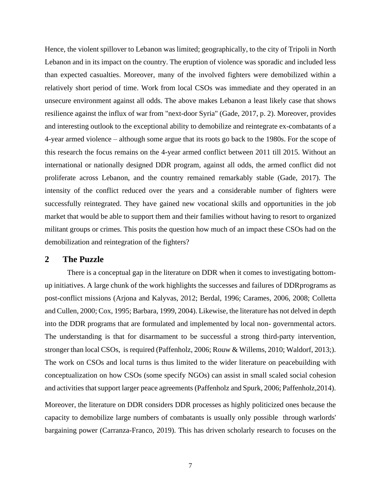Hence, the violent spillover to Lebanon was limited; geographically, to the city of Tripoli in North Lebanon and in its impact on the country. The eruption of violence was sporadic and included less than expected casualties. Moreover, many of the involved fighters were demobilized within a relatively short period of time. Work from local CSOs was immediate and they operated in an unsecure environment against all odds. The above makes Lebanon a least likely case that shows resilience against the influx of war from "next-door Syria" (Gade, 2017, p. 2). Moreover, provides and interesting outlook to the exceptional ability to demobilize and reintegrate ex-combatants of a 4-year armed violence – although some argue that its roots go back to the 1980s. For the scope of this research the focus remains on the 4-year armed conflict between 2011 till 2015. Without an international or nationally designed DDR program, against all odds, the armed conflict did not proliferate across Lebanon, and the country remained remarkably stable (Gade, 2017). The intensity of the conflict reduced over the years and a considerable number of fighters were successfully reintegrated. They have gained new vocational skills and opportunities in the job market that would be able to support them and their families without having to resort to organized militant groups or crimes. This posits the question how much of an impact these CSOs had on the demobilization and reintegration of the fighters?

#### **2 The Puzzle**

There is a conceptual gap in the literature on DDR when it comes to investigating bottomup initiatives. A large chunk of the work highlights the successes and failures of DDRprograms as post-conflict missions (Arjona and Kalyvas, 2012; Berdal, 1996; Carames, 2006, 2008; Colletta and Cullen, 2000; Cox, 1995; Barbara, 1999, 2004). Likewise, the literature has not delved in depth into the DDR programs that are formulated and implemented by local non- governmental actors. The understanding is that for disarmament to be successful a strong third-party intervention, stronger than local CSOs, is required (Paffenholz, 2006; Rouw & Willems, 2010; Waldorf, 2013;). The work on CSOs and local turns is thus limited to the wider literature on peacebuilding with conceptualization on how CSOs (some specify NGOs) can assist in small scaled social cohesion and activities that support larger peace agreements (Paffenholz and Spurk, 2006; Paffenholz, 2014).

Moreover, the literature on DDR considers DDR processes as highly politicized ones because the capacity to demobilize large numbers of combatants is usually only possible through warlords' bargaining power (Carranza-Franco, 2019). This has driven scholarly research to focuses on the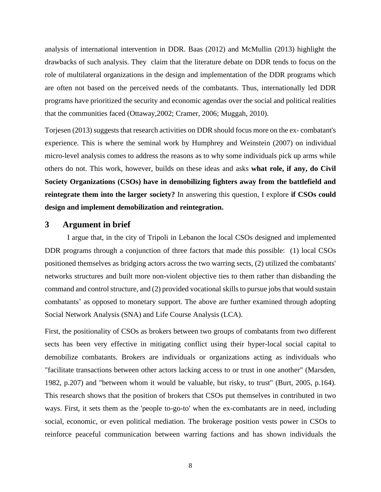analysis of international intervention in DDR. Baas (2012) and McMullin (2013) highlight the drawbacks of such analysis. They claim that the literature debate on DDR tends to focus on the role of multilateral organizations in the design and implementation of the DDR programs which are often not based on the perceived needs of the combatants. Thus, internationally led DDR programs have prioritized the security and economic agendas over the social and political realities that the communities faced (Ottaway,2002; Cramer, 2006; Muggah, 2010).

Torjesen (2013) suggests that research activities on DDR should focus more on the ex- combatant's experience. This is where the seminal work by Humphrey and Weinstein (2007) on individual micro-level analysis comes to address the reasons as to why some individuals pick up arms while others do not. This work, however, builds on these ideas and asks **what role, if any, do Civil Society Organizations (CSOs) have in demobilizing fighters away from the battlefield and reintegrate them into the larger society?** In answering this question, I explore **if CSOs could design and implement demobilization and reintegration.**

#### **3 Argument in brief**

I argue that, in the city of Tripoli in Lebanon the local CSOs designed and implemented DDR programs through a conjunction of three factors that made this possible: (1) local CSOs positioned themselves as bridging actors across the two warring sects, (2) utilized the combatants' networks structures and built more non-violent objective ties to them rather than disbanding the command and control structure, and (2) provided vocational skills to pursue jobs that would sustain combatants' as opposed to monetary support. The above are further examined through adopting Social Network Analysis (SNA) and Life Course Analysis (LCA).

First, the positionality of CSOs as brokers between two groups of combatants from two different sects has been very effective in mitigating conflict using their hyper-local social capital to demobilize combatants. Brokers are individuals or organizations acting as individuals who "facilitate transactions between other actors lacking access to or trust in one another" (Marsden, 1982, p.207) and "between whom it would be valuable, but risky, to trust" (Burt, 2005, p.164). This research shows that the position of brokers that CSOs put themselves in contributed in two ways. First, it sets them as the 'people to-go-to' when the ex-combatants are in need, including social, economic, or even political mediation. The brokerage position vests power in CSOs to reinforce peaceful communication between warring factions and has shown individuals the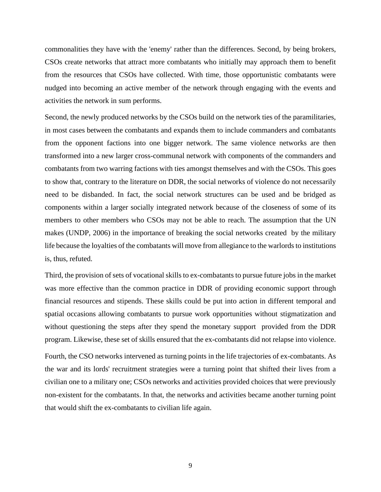commonalities they have with the 'enemy' rather than the differences. Second, by being brokers, CSOs create networks that attract more combatants who initially may approach them to benefit from the resources that CSOs have collected. With time, those opportunistic combatants were nudged into becoming an active member of the network through engaging with the events and activities the network in sum performs.

Second, the newly produced networks by the CSOs build on the network ties of the paramilitaries, in most cases between the combatants and expands them to include commanders and combatants from the opponent factions into one bigger network. The same violence networks are then transformed into a new larger cross-communal network with components of the commanders and combatants from two warring factions with ties amongst themselves and with the CSOs. This goes to show that, contrary to the literature on DDR, the social networks of violence do not necessarily need to be disbanded. In fact, the social network structures can be used and be bridged as components within a larger socially integrated network because of the closeness of some of its members to other members who CSOs may not be able to reach. The assumption that the UN makes (UNDP, 2006) in the importance of breaking the social networks created by the military life because the loyalties of the combatants will move from allegiance to the warlords to institutions is, thus, refuted.

Third, the provision of sets of vocational skills to ex-combatants to pursue future jobs in the market was more effective than the common practice in DDR of providing economic support through financial resources and stipends. These skills could be put into action in different temporal and spatial occasions allowing combatants to pursue work opportunities without stigmatization and without questioning the steps after they spend the monetary support provided from the DDR program. Likewise, these set of skills ensured that the ex-combatants did not relapse into violence.

Fourth, the CSO networks intervened as turning points in the life trajectories of ex-combatants. As the war and its lords' recruitment strategies were a turning point that shifted their lives from a civilian one to a military one; CSOs networks and activities provided choices that were previously non-existent for the combatants. In that, the networks and activities became another turning point that would shift the ex-combatants to civilian life again.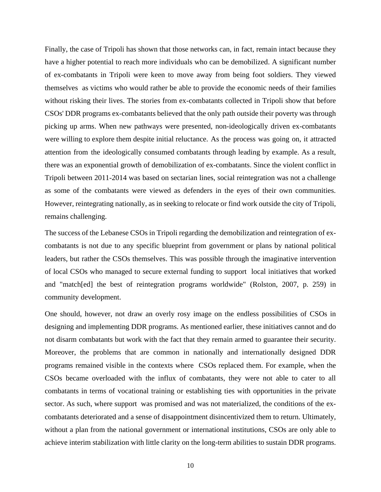Finally, the case of Tripoli has shown that those networks can, in fact, remain intact because they have a higher potential to reach more individuals who can be demobilized. A significant number of ex-combatants in Tripoli were keen to move away from being foot soldiers. They viewed themselves as victims who would rather be able to provide the economic needs of their families without risking their lives. The stories from ex-combatants collected in Tripoli show that before CSOs' DDR programs ex-combatants believed that the only path outside their poverty was through picking up arms. When new pathways were presented, non-ideologically driven ex-combatants were willing to explore them despite initial reluctance. As the process was going on, it attracted attention from the ideologically consumed combatants through leading by example. As a result, there was an exponential growth of demobilization of ex-combatants. Since the violent conflict in Tripoli between 2011-2014 was based on sectarian lines, social reintegration was not a challenge as some of the combatants were viewed as defenders in the eyes of their own communities. However, reintegrating nationally, as in seeking to relocate or find work outside the city of Tripoli, remains challenging.

The success of the Lebanese CSOs in Tripoli regarding the demobilization and reintegration of excombatants is not due to any specific blueprint from government or plans by national political leaders, but rather the CSOs themselves. This was possible through the imaginative intervention of local CSOs who managed to secure external funding to support local initiatives that worked and "match[ed] the best of reintegration programs worldwide" (Rolston, 2007, p. 259) in community development.

One should, however, not draw an overly rosy image on the endless possibilities of CSOs in designing and implementing DDR programs. As mentioned earlier, these initiatives cannot and do not disarm combatants but work with the fact that they remain armed to guarantee their security. Moreover, the problems that are common in nationally and internationally designed DDR programs remained visible in the contexts where CSOs replaced them. For example, when the CSOs became overloaded with the influx of combatants, they were not able to cater to all combatants in terms of vocational training or establishing ties with opportunities in the private sector. As such, where support was promised and was not materialized, the conditions of the excombatants deteriorated and a sense of disappointment disincentivized them to return. Ultimately, without a plan from the national government or international institutions, CSOs are only able to achieve interim stabilization with little clarity on the long-term abilities to sustain DDR programs.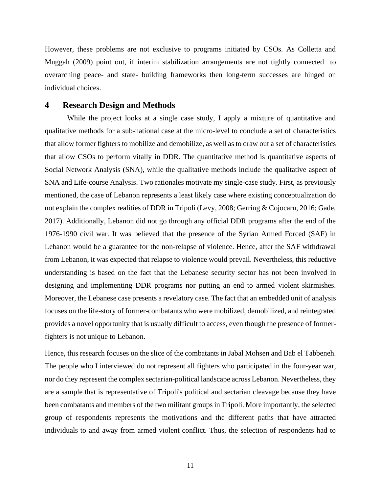However, these problems are not exclusive to programs initiated by CSOs. As Colletta and Muggah (2009) point out, if interim stabilization arrangements are not tightly connected to overarching peace- and state- building frameworks then long-term successes are hinged on individual choices.

#### **4 Research Design and Methods**

While the project looks at a single case study, I apply a mixture of quantitative and qualitative methods for a sub-national case at the micro-level to conclude a set of characteristics that allow former fighters to mobilize and demobilize, as well as to draw out a set of characteristics that allow CSOs to perform vitally in DDR. The quantitative method is quantitative aspects of Social Network Analysis (SNA), while the qualitative methods include the qualitative aspect of SNA and Life-course Analysis. Two rationales motivate my single-case study. First, as previously mentioned, the case of Lebanon represents a least likely case where existing conceptualization do not explain the complex realities of DDR in Tripoli (Levy, 2008; Gerring & Cojocaru, 2016; Gade, 2017). Additionally, Lebanon did not go through any official DDR programs after the end of the 1976-1990 civil war. It was believed that the presence of the Syrian Armed Forced (SAF) in Lebanon would be a guarantee for the non-relapse of violence. Hence, after the SAF withdrawal from Lebanon, it was expected that relapse to violence would prevail. Nevertheless, this reductive understanding is based on the fact that the Lebanese security sector has not been involved in designing and implementing DDR programs nor putting an end to armed violent skirmishes. Moreover, the Lebanese case presents a revelatory case. The fact that an embedded unit of analysis focuses on the life-story of former-combatants who were mobilized, demobilized, and reintegrated provides a novel opportunity that is usually difficult to access, even though the presence of formerfighters is not unique to Lebanon.

Hence, this research focuses on the slice of the combatants in Jabal Mohsen and Bab el Tabbeneh. The people who I interviewed do not represent all fighters who participated in the four-year war, nor do they represent the complex sectarian-political landscape across Lebanon. Nevertheless, they are a sample that is representative of Tripoli's political and sectarian cleavage because they have been combatants and members of the two militant groups in Tripoli. More importantly, the selected group of respondents represents the motivations and the different paths that have attracted individuals to and away from armed violent conflict. Thus, the selection of respondents had to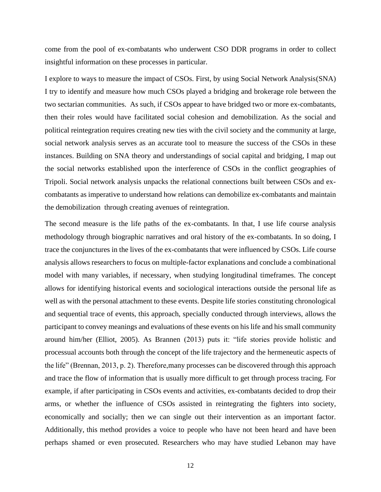come from the pool of ex-combatants who underwent CSO DDR programs in order to collect insightful information on these processes in particular.

I explore to ways to measure the impact of CSOs. First, by using Social Network Analysis(SNA) I try to identify and measure how much CSOs played a bridging and brokerage role between the two sectarian communities. As such, if CSOs appear to have bridged two or more ex-combatants, then their roles would have facilitated social cohesion and demobilization. As the social and political reintegration requires creating new ties with the civil society and the community at large, social network analysis serves as an accurate tool to measure the success of the CSOs in these instances. Building on SNA theory and understandings of social capital and bridging, I map out the social networks established upon the interference of CSOs in the conflict geographies of Tripoli. Social network analysis unpacks the relational connections built between CSOs and excombatants as imperative to understand how relations can demobilize ex-combatants and maintain the demobilization through creating avenues of reintegration.

The second measure is the life paths of the ex-combatants. In that, I use life course analysis methodology through biographic narratives and oral history of the ex-combatants. In so doing, I trace the conjunctures in the lives of the ex-combatants that were influenced by CSOs. Life course analysis allows researchers to focus on multiple-factor explanations and conclude a combinational model with many variables, if necessary, when studying longitudinal timeframes. The concept allows for identifying historical events and sociological interactions outside the personal life as well as with the personal attachment to these events. Despite life stories constituting chronological and sequential trace of events, this approach, specially conducted through interviews, allows the participant to convey meanings and evaluations of these events on his life and his small community around him/her (Elliot, 2005). As Brannen (2013) puts it: "life stories provide holistic and processual accounts both through the concept of the life trajectory and the hermeneutic aspects of the life" (Brennan, 2013, p. 2). Therefore,many processes can be discovered through this approach and trace the flow of information that is usually more difficult to get through process tracing. For example, if after participating in CSOs events and activities, ex-combatants decided to drop their arms, or whether the influence of CSOs assisted in reintegrating the fighters into society, economically and socially; then we can single out their intervention as an important factor. Additionally, this method provides a voice to people who have not been heard and have been perhaps shamed or even prosecuted. Researchers who may have studied Lebanon may have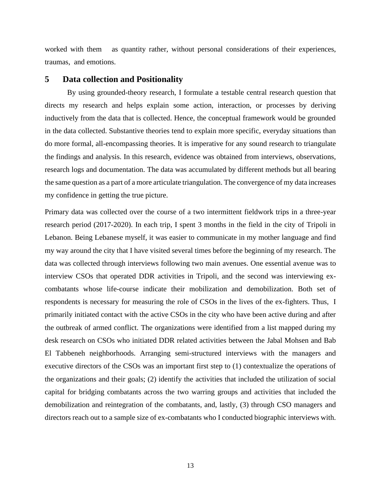worked with them as quantity rather, without personal considerations of their experiences, traumas, and emotions.

### **5 Data collection and Positionality**

By using grounded-theory research, I formulate a testable central research question that directs my research and helps explain some action, interaction, or processes by deriving inductively from the data that is collected. Hence, the conceptual framework would be grounded in the data collected. Substantive theories tend to explain more specific, everyday situations than do more formal, all-encompassing theories. It is imperative for any sound research to triangulate the findings and analysis. In this research, evidence was obtained from interviews, observations, research logs and documentation. The data was accumulated by different methods but all bearing the same question as a part of a more articulate triangulation. The convergence of my data increases my confidence in getting the true picture.

Primary data was collected over the course of a two intermittent fieldwork trips in a three-year research period (2017-2020). In each trip, I spent 3 months in the field in the city of Tripoli in Lebanon. Being Lebanese myself, it was easier to communicate in my mother language and find my way around the city that I have visited several times before the beginning of my research. The data was collected through interviews following two main avenues. One essential avenue was to interview CSOs that operated DDR activities in Tripoli, and the second was interviewing excombatants whose life-course indicate their mobilization and demobilization. Both set of respondents is necessary for measuring the role of CSOs in the lives of the ex-fighters. Thus, I primarily initiated contact with the active CSOs in the city who have been active during and after the outbreak of armed conflict. The organizations were identified from a list mapped during my desk research on CSOs who initiated DDR related activities between the Jabal Mohsen and Bab El Tabbeneh neighborhoods. Arranging semi-structured interviews with the managers and executive directors of the CSOs was an important first step to (1) contextualize the operations of the organizations and their goals; (2) identify the activities that included the utilization of social capital for bridging combatants across the two warring groups and activities that included the demobilization and reintegration of the combatants, and, lastly, (3) through CSO managers and directors reach out to a sample size of ex-combatants who I conducted biographic interviews with.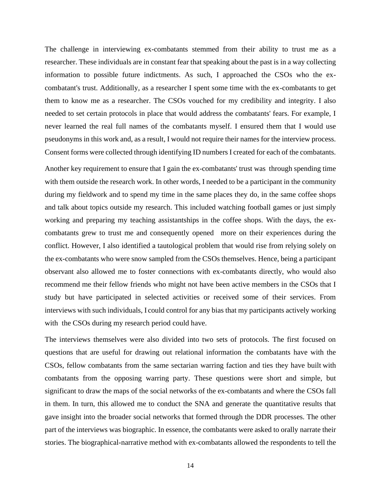The challenge in interviewing ex-combatants stemmed from their ability to trust me as a researcher. These individuals are in constant fear that speaking about the past is in a way collecting information to possible future indictments. As such, I approached the CSOs who the excombatant's trust. Additionally, as a researcher I spent some time with the ex-combatants to get them to know me as a researcher. The CSOs vouched for my credibility and integrity. I also needed to set certain protocols in place that would address the combatants' fears. For example, I never learned the real full names of the combatants myself. I ensured them that I would use pseudonyms in this work and, as a result, I would not require their names for the interview process. Consent forms were collected through identifying ID numbers I created for each of the combatants.

Another key requirement to ensure that I gain the ex-combatants' trust was through spending time with them outside the research work. In other words, I needed to be a participant in the community during my fieldwork and to spend my time in the same places they do, in the same coffee shops and talk about topics outside my research. This included watching football games or just simply working and preparing my teaching assistantships in the coffee shops. With the days, the excombatants grew to trust me and consequently opened more on their experiences during the conflict. However, I also identified a tautological problem that would rise from relying solely on the ex-combatants who were snow sampled from the CSOs themselves. Hence, being a participant observant also allowed me to foster connections with ex-combatants directly, who would also recommend me their fellow friends who might not have been active members in the CSOs that I study but have participated in selected activities or received some of their services. From interviews with such individuals, I could control for any bias that my participants actively working with the CSOs during my research period could have.

The interviews themselves were also divided into two sets of protocols. The first focused on questions that are useful for drawing out relational information the combatants have with the CSOs, fellow combatants from the same sectarian warring faction and ties they have built with combatants from the opposing warring party. These questions were short and simple, but significant to draw the maps of the social networks of the ex-combatants and where the CSOs fall in them. In turn, this allowed me to conduct the SNA and generate the quantitative results that gave insight into the broader social networks that formed through the DDR processes. The other part of the interviews was biographic. In essence, the combatants were asked to orally narrate their stories. The biographical-narrative method with ex-combatants allowed the respondents to tell the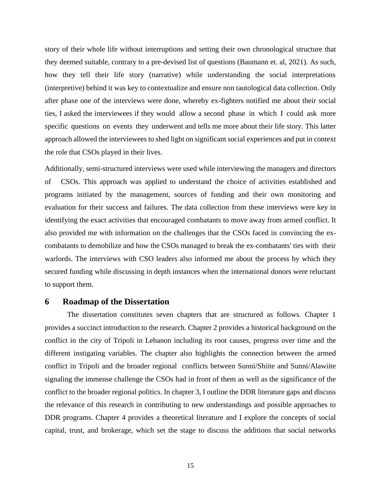story of their whole life without interruptions and setting their own chronological structure that they deemed suitable, contrary to a pre-devised list of questions (Baumann et. al, 2021). As such, how they tell their life story (narrative) while understanding the social interpretations (interpretive) behind it was key to contextualize and ensure non tautological data collection. Only after phase one of the interviews were done, whereby ex-fighters notified me about their social ties, I asked the interviewees if they would allow a second phase in which I could ask more specific questions on events they underwent and tells me more about their life story. This latter approach allowed the interviewees to shed light on significant social experiences and put in context the role that CSOs played in their lives.

Additionally, semi-structured interviews were used while interviewing the managers and directors of CSOs. This approach was applied to understand the choice of activities established and programs initiated by the management, sources of funding and their own monitoring and evaluation for their success and failures. The data collection from these interviews were key in identifying the exact activities that encouraged combatants to move away from armed conflict. It also provided me with information on the challenges that the CSOs faced in convincing the excombatants to demobilize and how the CSOs managed to break the ex-combatants' ties with their warlords. The interviews with CSO leaders also informed me about the process by which they secured funding while discussing in depth instances when the international donors were reluctant to support them.

### **6 Roadmap of the Dissertation**

The dissertation constitutes seven chapters that are structured as follows. Chapter 1 provides a succinct introduction to the research. Chapter 2 provides a historical background on the conflict in the city of Tripoli in Lebanon including its root causes, progress over time and the different instigating variables. The chapter also highlights the connection between the armed conflict in Tripoli and the broader regional conflicts between Sunni/Shiite and Sunni/Alawiite signaling the immense challenge the CSOs had in front of them as well as the significance of the conflict to the broader regional politics. In chapter 3, I outline the DDR literature gaps and discuss the relevance of this research in contributing to new understandings and possible approaches to DDR programs. Chapter 4 provides a theoretical literature and I explore the concepts of social capital, trust, and brokerage, which set the stage to discuss the additions that social networks